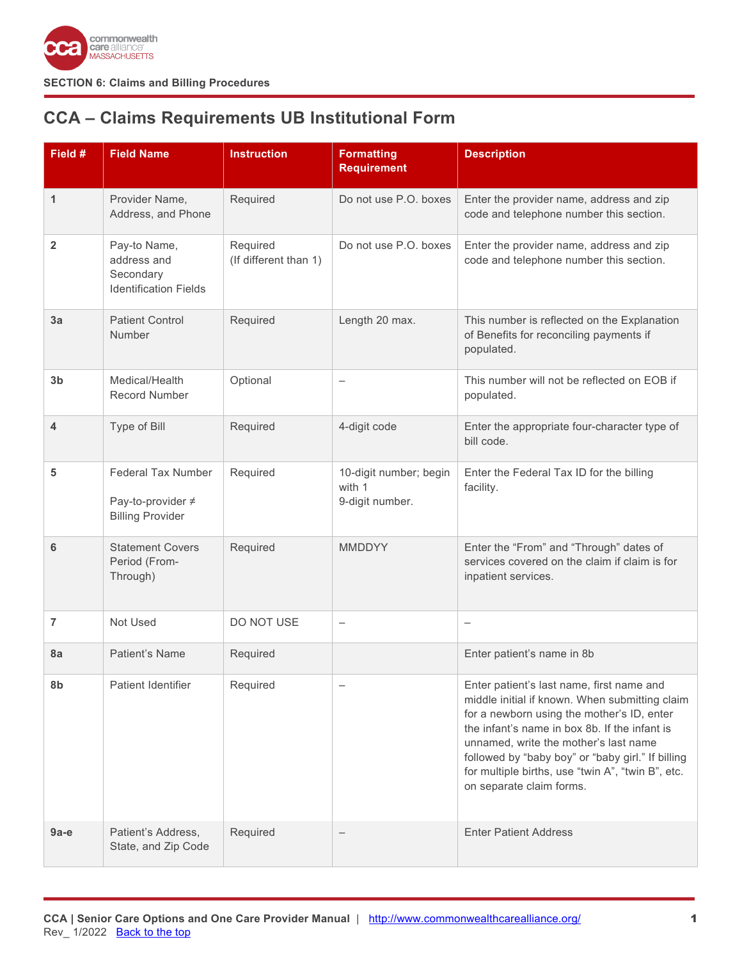

# <span id="page-0-0"></span>**CCA – Claims Requirements UB Institutional Form**

| Field #        | <b>Field Name</b>                                                         | <b>Instruction</b>                | <b>Formatting</b><br><b>Requirement</b>             | <b>Description</b>                                                                                                                                                                                                                                                                                                                                                        |
|----------------|---------------------------------------------------------------------------|-----------------------------------|-----------------------------------------------------|---------------------------------------------------------------------------------------------------------------------------------------------------------------------------------------------------------------------------------------------------------------------------------------------------------------------------------------------------------------------------|
| 1              | Provider Name,<br>Address, and Phone                                      | Required                          | Do not use P.O. boxes                               | Enter the provider name, address and zip<br>code and telephone number this section.                                                                                                                                                                                                                                                                                       |
| $\overline{2}$ | Pay-to Name,<br>address and<br>Secondary<br><b>Identification Fields</b>  | Required<br>(If different than 1) | Do not use P.O. boxes                               | Enter the provider name, address and zip<br>code and telephone number this section.                                                                                                                                                                                                                                                                                       |
| 3a             | <b>Patient Control</b><br>Number                                          | Required                          | Length 20 max.                                      | This number is reflected on the Explanation<br>of Benefits for reconciling payments if<br>populated.                                                                                                                                                                                                                                                                      |
| 3 <sub>b</sub> | Medical/Health<br><b>Record Number</b>                                    | Optional                          |                                                     | This number will not be reflected on EOB if<br>populated.                                                                                                                                                                                                                                                                                                                 |
| 4              | Type of Bill                                                              | Required                          | 4-digit code                                        | Enter the appropriate four-character type of<br>bill code.                                                                                                                                                                                                                                                                                                                |
| 5              | <b>Federal Tax Number</b><br>Pay-to-provider ≠<br><b>Billing Provider</b> | Required                          | 10-digit number; begin<br>with 1<br>9-digit number. | Enter the Federal Tax ID for the billing<br>facility.                                                                                                                                                                                                                                                                                                                     |
| 6              | <b>Statement Covers</b><br>Period (From-<br>Through)                      | Required                          | <b>MMDDYY</b>                                       | Enter the "From" and "Through" dates of<br>services covered on the claim if claim is for<br>inpatient services.                                                                                                                                                                                                                                                           |
| $\overline{7}$ | Not Used                                                                  | DO NOT USE                        | $\qquad \qquad -$                                   | $\overline{\phantom{0}}$                                                                                                                                                                                                                                                                                                                                                  |
| 8a             | Patient's Name                                                            | Required                          |                                                     | Enter patient's name in 8b                                                                                                                                                                                                                                                                                                                                                |
| 8b             | Patient Identifier                                                        | Required                          |                                                     | Enter patient's last name, first name and<br>middle initial if known. When submitting claim<br>for a newborn using the mother's ID, enter<br>the infant's name in box 8b. If the infant is<br>unnamed, write the mother's last name<br>followed by "baby boy" or "baby girl." If billing<br>for multiple births, use "twin A", "twin B", etc.<br>on separate claim forms. |
| 9а-е           | Patient's Address,<br>State, and Zip Code                                 | Required                          | $\qquad \qquad -$                                   | <b>Enter Patient Address</b>                                                                                                                                                                                                                                                                                                                                              |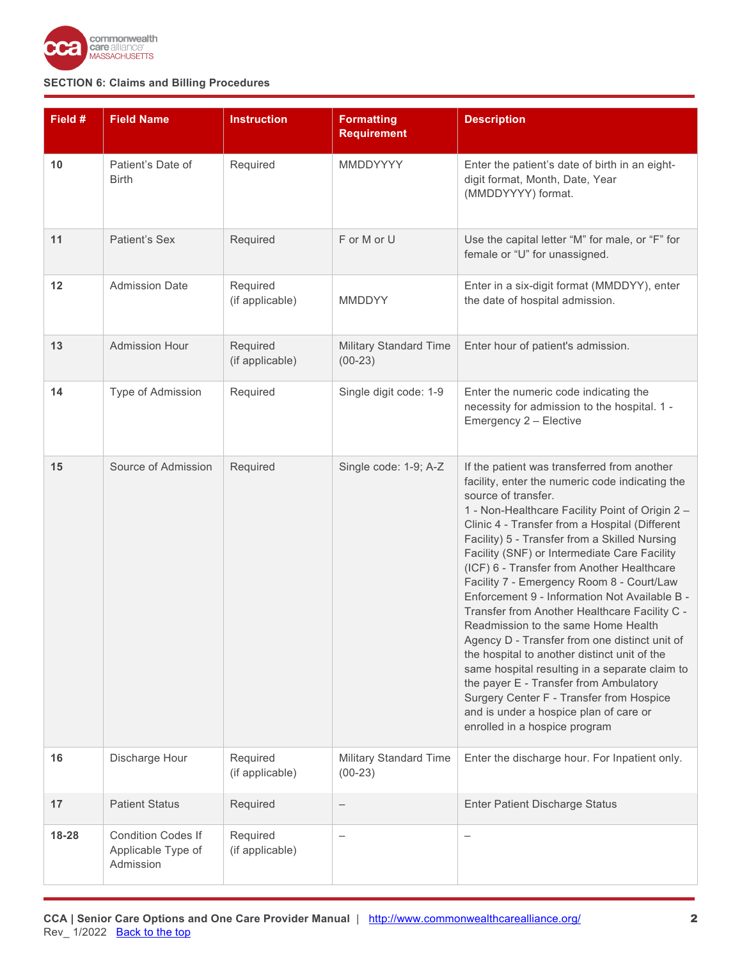

| Field # | <b>Field Name</b>                                            | <b>Instruction</b>          | <b>Formatting</b><br><b>Requirement</b>    | <b>Description</b>                                                                                                                                                                                                                                                                                                                                                                                                                                                                                                                                                                                                                                                                                                                                                                                                                                                                  |
|---------|--------------------------------------------------------------|-----------------------------|--------------------------------------------|-------------------------------------------------------------------------------------------------------------------------------------------------------------------------------------------------------------------------------------------------------------------------------------------------------------------------------------------------------------------------------------------------------------------------------------------------------------------------------------------------------------------------------------------------------------------------------------------------------------------------------------------------------------------------------------------------------------------------------------------------------------------------------------------------------------------------------------------------------------------------------------|
| 10      | Patient's Date of<br><b>Birth</b>                            | Required                    | MMDDYYYY                                   | Enter the patient's date of birth in an eight-<br>digit format, Month, Date, Year<br>(MMDDYYYY) format.                                                                                                                                                                                                                                                                                                                                                                                                                                                                                                                                                                                                                                                                                                                                                                             |
| 11      | Patient's Sex                                                | Required                    | F or M or U                                | Use the capital letter "M" for male, or "F" for<br>female or "U" for unassigned.                                                                                                                                                                                                                                                                                                                                                                                                                                                                                                                                                                                                                                                                                                                                                                                                    |
| 12      | <b>Admission Date</b>                                        | Required<br>(if applicable) | <b>MMDDYY</b>                              | Enter in a six-digit format (MMDDYY), enter<br>the date of hospital admission.                                                                                                                                                                                                                                                                                                                                                                                                                                                                                                                                                                                                                                                                                                                                                                                                      |
| 13      | <b>Admission Hour</b>                                        | Required<br>(if applicable) | <b>Military Standard Time</b><br>$(00-23)$ | Enter hour of patient's admission.                                                                                                                                                                                                                                                                                                                                                                                                                                                                                                                                                                                                                                                                                                                                                                                                                                                  |
| 14      | Type of Admission                                            | Required                    | Single digit code: 1-9                     | Enter the numeric code indicating the<br>necessity for admission to the hospital. 1 -<br>Emergency 2 - Elective                                                                                                                                                                                                                                                                                                                                                                                                                                                                                                                                                                                                                                                                                                                                                                     |
| 15      | Source of Admission                                          | Required                    | Single code: 1-9; A-Z                      | If the patient was transferred from another<br>facility, enter the numeric code indicating the<br>source of transfer.<br>1 - Non-Healthcare Facility Point of Origin 2 -<br>Clinic 4 - Transfer from a Hospital (Different<br>Facility) 5 - Transfer from a Skilled Nursing<br>Facility (SNF) or Intermediate Care Facility<br>(ICF) 6 - Transfer from Another Healthcare<br>Facility 7 - Emergency Room 8 - Court/Law<br>Enforcement 9 - Information Not Available B -<br>Transfer from Another Healthcare Facility C -<br>Readmission to the same Home Health<br>Agency D - Transfer from one distinct unit of<br>the hospital to another distinct unit of the<br>same hospital resulting in a separate claim to<br>the payer E - Transfer from Ambulatory<br>Surgery Center F - Transfer from Hospice<br>and is under a hospice plan of care or<br>enrolled in a hospice program |
| 16      | Discharge Hour                                               | Required<br>(if applicable) | Military Standard Time<br>$(00-23)$        | Enter the discharge hour. For Inpatient only.                                                                                                                                                                                                                                                                                                                                                                                                                                                                                                                                                                                                                                                                                                                                                                                                                                       |
| 17      | <b>Patient Status</b>                                        | Required                    | $\qquad \qquad -$                          | <b>Enter Patient Discharge Status</b>                                                                                                                                                                                                                                                                                                                                                                                                                                                                                                                                                                                                                                                                                                                                                                                                                                               |
| 18-28   | <b>Condition Codes If</b><br>Applicable Type of<br>Admission | Required<br>(if applicable) |                                            | $\overline{\phantom{0}}$                                                                                                                                                                                                                                                                                                                                                                                                                                                                                                                                                                                                                                                                                                                                                                                                                                                            |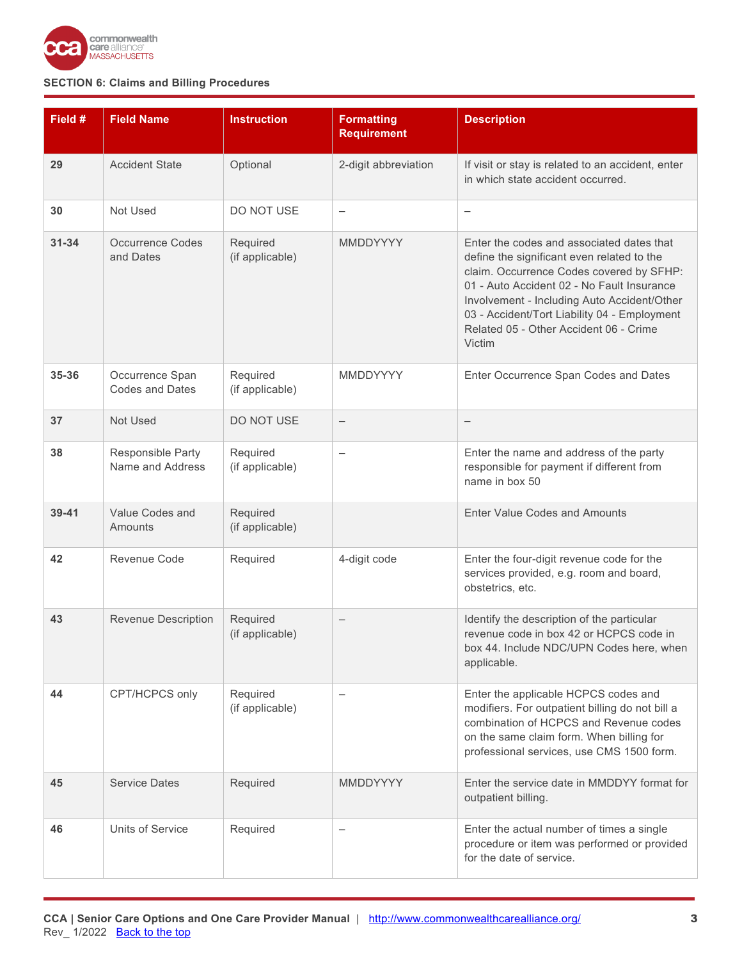

| Field #   | <b>Field Name</b>                         | <b>Instruction</b>          | <b>Formatting</b><br><b>Requirement</b> | <b>Description</b>                                                                                                                                                                                                                                                                                                                   |
|-----------|-------------------------------------------|-----------------------------|-----------------------------------------|--------------------------------------------------------------------------------------------------------------------------------------------------------------------------------------------------------------------------------------------------------------------------------------------------------------------------------------|
| 29        | <b>Accident State</b>                     | Optional                    | 2-digit abbreviation                    | If visit or stay is related to an accident, enter<br>in which state accident occurred.                                                                                                                                                                                                                                               |
| 30        | Not Used                                  | DO NOT USE                  | $\qquad \qquad -$                       | $\overline{\phantom{0}}$                                                                                                                                                                                                                                                                                                             |
| $31 - 34$ | <b>Occurrence Codes</b><br>and Dates      | Required<br>(if applicable) | MMDDYYYY                                | Enter the codes and associated dates that<br>define the significant even related to the<br>claim. Occurrence Codes covered by SFHP:<br>01 - Auto Accident 02 - No Fault Insurance<br>Involvement - Including Auto Accident/Other<br>03 - Accident/Tort Liability 04 - Employment<br>Related 05 - Other Accident 06 - Crime<br>Victim |
| 35-36     | Occurrence Span<br><b>Codes and Dates</b> | Required<br>(if applicable) | MMDDYYYY                                | Enter Occurrence Span Codes and Dates                                                                                                                                                                                                                                                                                                |
| 37        | Not Used                                  | DO NOT USE                  | $\qquad \qquad -$                       | $\qquad \qquad -$                                                                                                                                                                                                                                                                                                                    |
| 38        | Responsible Party<br>Name and Address     | Required<br>(if applicable) |                                         | Enter the name and address of the party<br>responsible for payment if different from<br>name in box 50                                                                                                                                                                                                                               |
| $39 - 41$ | Value Codes and<br>Amounts                | Required<br>(if applicable) |                                         | <b>Enter Value Codes and Amounts</b>                                                                                                                                                                                                                                                                                                 |
| 42        | Revenue Code                              | Required                    | 4-digit code                            | Enter the four-digit revenue code for the<br>services provided, e.g. room and board,<br>obstetrics, etc.                                                                                                                                                                                                                             |
| 43        | <b>Revenue Description</b>                | Required<br>(if applicable) |                                         | Identify the description of the particular<br>revenue code in box 42 or HCPCS code in<br>box 44. Include NDC/UPN Codes here, when<br>applicable.                                                                                                                                                                                     |
| 44        | CPT/HCPCS only                            | Required<br>(if applicable) |                                         | Enter the applicable HCPCS codes and<br>modifiers. For outpatient billing do not bill a<br>combination of HCPCS and Revenue codes<br>on the same claim form. When billing for<br>professional services, use CMS 1500 form.                                                                                                           |
| 45        | <b>Service Dates</b>                      | Required                    | <b>MMDDYYYY</b>                         | Enter the service date in MMDDYY format for<br>outpatient billing.                                                                                                                                                                                                                                                                   |
| 46        | Units of Service                          | Required                    | $\overline{\phantom{0}}$                | Enter the actual number of times a single<br>procedure or item was performed or provided<br>for the date of service.                                                                                                                                                                                                                 |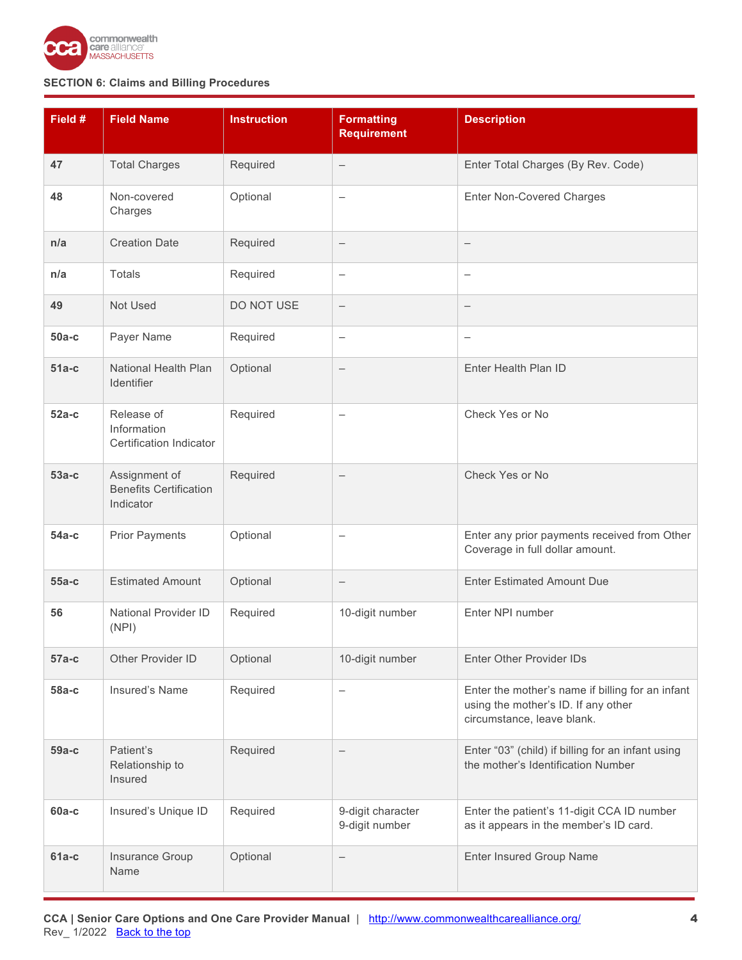

| Field # | <b>Field Name</b>                                           | <b>Instruction</b> | <b>Formatting</b><br><b>Requirement</b> | <b>Description</b>                                                                                                    |
|---------|-------------------------------------------------------------|--------------------|-----------------------------------------|-----------------------------------------------------------------------------------------------------------------------|
| 47      | <b>Total Charges</b>                                        | Required           | $\qquad \qquad -$                       | Enter Total Charges (By Rev. Code)                                                                                    |
| 48      | Non-covered<br>Charges                                      | Optional           | $\qquad \qquad -$                       | <b>Enter Non-Covered Charges</b>                                                                                      |
| n/a     | <b>Creation Date</b>                                        | Required           | $\qquad \qquad -$                       | —                                                                                                                     |
| n/a     | Totals                                                      | Required           | $\qquad \qquad -$                       | $\overline{\phantom{0}}$                                                                                              |
| 49      | Not Used                                                    | DO NOT USE         | $\qquad \qquad -$                       |                                                                                                                       |
| $50a-c$ | Payer Name                                                  | Required           | $\qquad \qquad -$                       | $\qquad \qquad -$                                                                                                     |
| $51a-c$ | National Health Plan<br>Identifier                          | Optional           | $\qquad \qquad -$                       | Enter Health Plan ID                                                                                                  |
| $52a-c$ | Release of<br>Information<br>Certification Indicator        | Required           | $\qquad \qquad -$                       | Check Yes or No                                                                                                       |
| $53a-c$ | Assignment of<br><b>Benefits Certification</b><br>Indicator | Required           | $\qquad \qquad -$                       | Check Yes or No                                                                                                       |
| $54a-c$ | <b>Prior Payments</b>                                       | Optional           | -                                       | Enter any prior payments received from Other<br>Coverage in full dollar amount.                                       |
| $55a-c$ | <b>Estimated Amount</b>                                     | Optional           | $\qquad \qquad -$                       | <b>Enter Estimated Amount Due</b>                                                                                     |
| 56      | <b>National Provider ID</b><br>(NPI)                        | Required           | 10-digit number                         | Enter NPI number                                                                                                      |
| $57a-c$ | Other Provider ID                                           | Optional           | 10-digit number                         | <b>Enter Other Provider IDs</b>                                                                                       |
| 58a-c   | Insured's Name                                              | Required           | $\qquad \qquad -$                       | Enter the mother's name if billing for an infant<br>using the mother's ID. If any other<br>circumstance, leave blank. |
| 59а-с   | Patient's<br>Relationship to<br>Insured                     | Required           |                                         | Enter "03" (child) if billing for an infant using<br>the mother's Identification Number                               |
| $60a-c$ | Insured's Unique ID                                         | Required           | 9-digit character<br>9-digit number     | Enter the patient's 11-digit CCA ID number<br>as it appears in the member's ID card.                                  |
| $61a-c$ | Insurance Group<br>Name                                     | Optional           | $\qquad \qquad -$                       | <b>Enter Insured Group Name</b>                                                                                       |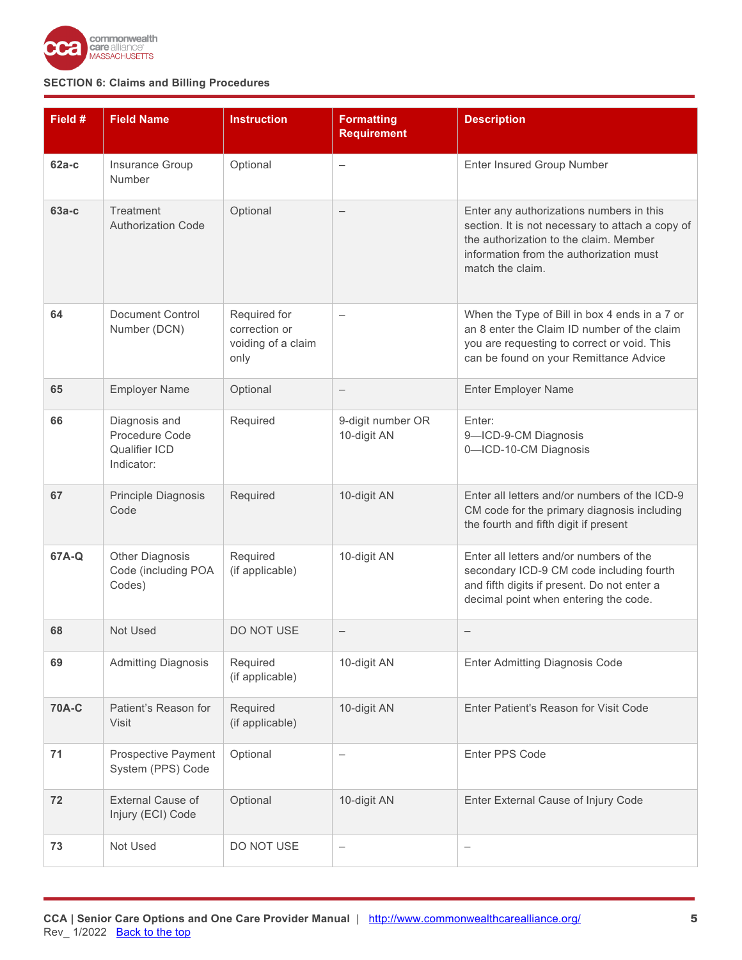

| Field #      | <b>Field Name</b>                                                     | <b>Instruction</b>                                          | <b>Formatting</b><br><b>Requirement</b> | <b>Description</b>                                                                                                                                                                                    |
|--------------|-----------------------------------------------------------------------|-------------------------------------------------------------|-----------------------------------------|-------------------------------------------------------------------------------------------------------------------------------------------------------------------------------------------------------|
| $62a-c$      | Insurance Group<br>Number                                             | Optional                                                    | $\overline{\phantom{0}}$                | Enter Insured Group Number                                                                                                                                                                            |
| $63a-c$      | Treatment<br><b>Authorization Code</b>                                | Optional                                                    | $\qquad \qquad -$                       | Enter any authorizations numbers in this<br>section. It is not necessary to attach a copy of<br>the authorization to the claim. Member<br>information from the authorization must<br>match the claim. |
| 64           | <b>Document Control</b><br>Number (DCN)                               | Required for<br>correction or<br>voiding of a claim<br>only |                                         | When the Type of Bill in box 4 ends in a 7 or<br>an 8 enter the Claim ID number of the claim<br>you are requesting to correct or void. This<br>can be found on your Remittance Advice                 |
| 65           | <b>Employer Name</b>                                                  | Optional                                                    | $\qquad \qquad -$                       | <b>Enter Employer Name</b>                                                                                                                                                                            |
| 66           | Diagnosis and<br>Procedure Code<br><b>Qualifier ICD</b><br>Indicator: | Required                                                    | 9-digit number OR<br>10-digit AN        | Enter:<br>9-ICD-9-CM Diagnosis<br>0-ICD-10-CM Diagnosis                                                                                                                                               |
| 67           | Principle Diagnosis<br>Code                                           | Required                                                    | 10-digit AN                             | Enter all letters and/or numbers of the ICD-9<br>CM code for the primary diagnosis including<br>the fourth and fifth digit if present                                                                 |
| 67A-Q        | <b>Other Diagnosis</b><br>Code (including POA<br>Codes)               | Required<br>(if applicable)                                 | 10-digit AN                             | Enter all letters and/or numbers of the<br>secondary ICD-9 CM code including fourth<br>and fifth digits if present. Do not enter a<br>decimal point when entering the code.                           |
| 68           | Not Used                                                              | DO NOT USE                                                  |                                         | $\qquad \qquad -$                                                                                                                                                                                     |
| 69           | <b>Admitting Diagnosis</b>                                            | Required<br>(if applicable)                                 | 10-digit AN                             | <b>Enter Admitting Diagnosis Code</b>                                                                                                                                                                 |
| <b>70A-C</b> | Patient's Reason for<br>Visit                                         | Required<br>(if applicable)                                 | 10-digit AN                             | Enter Patient's Reason for Visit Code                                                                                                                                                                 |
| 71           | <b>Prospective Payment</b><br>System (PPS) Code                       | Optional                                                    | —                                       | Enter PPS Code                                                                                                                                                                                        |
| 72           | External Cause of<br>Injury (ECI) Code                                | Optional                                                    | 10-digit AN                             | Enter External Cause of Injury Code                                                                                                                                                                   |
| 73           | Not Used                                                              | DO NOT USE                                                  | -                                       | $\qquad \qquad -$                                                                                                                                                                                     |